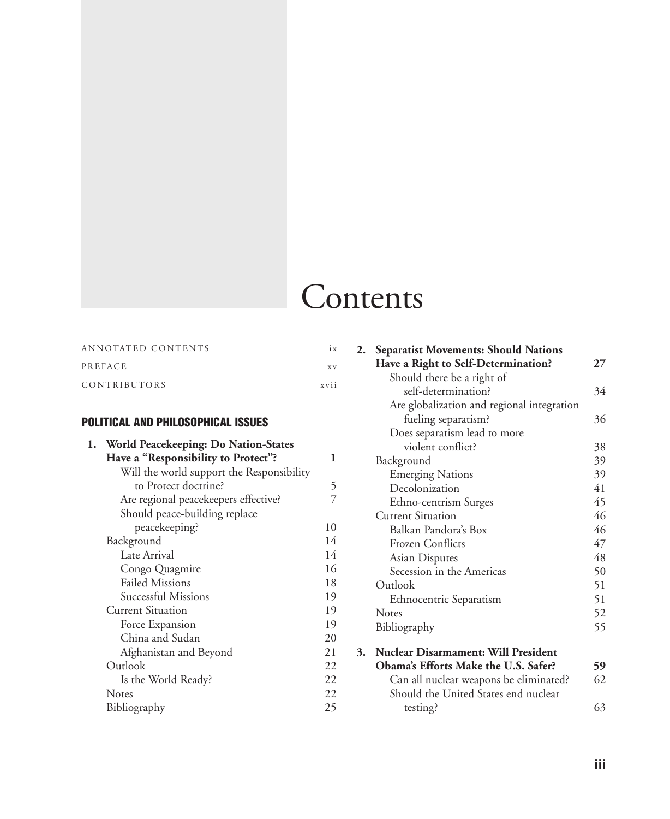# **Contents**

| ANNOTATED CONTENTS | 1 X       |
|--------------------|-----------|
| PREFACE            | <b>XV</b> |
| CONTRIBUTORS       | XVI1      |

### Political and Philosophical Issues

| World Peacekeeping: Do Nation-States      |    |
|-------------------------------------------|----|
| Have a "Responsibility to Protect"?       | 1  |
| Will the world support the Responsibility |    |
| to Protect doctrine?                      | 5  |
| Are regional peacekeepers effective?      |    |
| Should peace-building replace             |    |
| peacekeeping?                             | 10 |
| Background                                | 14 |
| Late Arrival                              | 14 |
| Congo Quagmire                            | 16 |
| <b>Failed Missions</b>                    | 18 |
| Successful Missions                       | 19 |
| <b>Current Situation</b>                  | 19 |
| Force Expansion                           | 19 |
| China and Sudan                           | 20 |
| Afghanistan and Beyond                    | 21 |
| Outlook                                   | 22 |
| Is the World Ready?                       | 22 |
| <b>Notes</b>                              | 22 |
| Bibliography                              | 25 |
|                                           |    |

| 2. | <b>Separatist Movements: Should Nations</b> |    |
|----|---------------------------------------------|----|
|    | Have a Right to Self-Determination?         | 27 |
|    | Should there be a right of                  |    |
|    | self-determination?                         | 34 |
|    | Are globalization and regional integration  |    |
|    | fueling separatism?                         | 36 |
|    | Does separatism lead to more                |    |
|    | violent conflict?                           | 38 |
|    | Background                                  | 39 |
|    | <b>Emerging Nations</b>                     | 39 |
|    | Decolonization                              | 41 |
|    | Ethno-centrism Surges                       | 45 |
|    | <b>Current Situation</b>                    | 46 |
|    | Balkan Pandora's Box                        | 46 |
|    | Frozen Conflicts                            | 47 |
|    | Asian Disputes                              | 48 |
|    | Secession in the Americas                   | 50 |
|    | Outlook                                     | 51 |
|    | Ethnocentric Separatism                     | 51 |
|    | Notes                                       | 52 |
|    | Bibliography                                | 55 |
| 3. | <b>Nuclear Disarmament: Will President</b>  |    |
|    | Obama's Efforts Make the U.S. Safer?        | 59 |
|    | Can all nuclear weapons be eliminated?      | 62 |
|    | Should the United States end nuclear        |    |
|    | testing?                                    | 63 |
|    |                                             |    |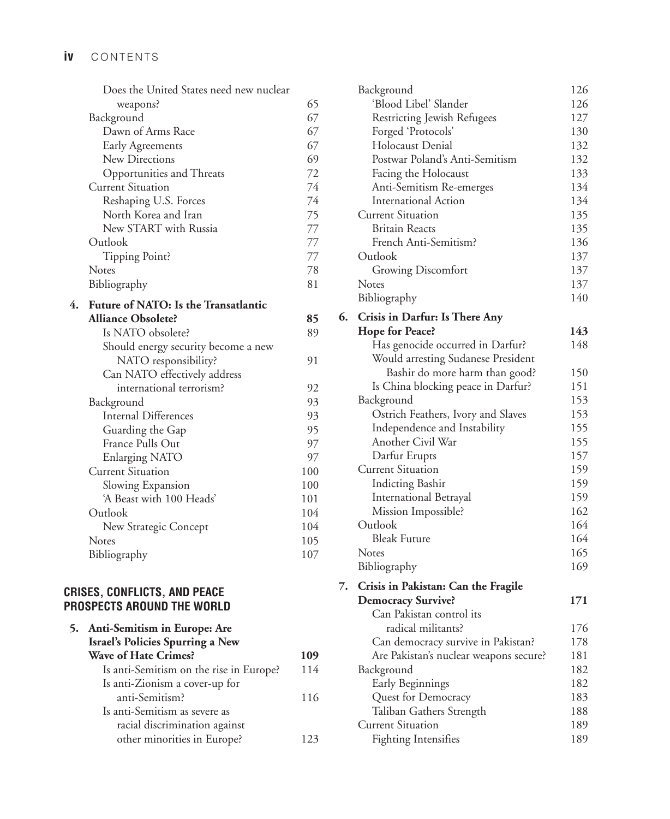|    | Does the United States need new nuclear |     |
|----|-----------------------------------------|-----|
|    | weapons?                                | 65  |
|    | Background                              | 67  |
|    | Dawn of Arms Race                       | 67  |
|    | Early Agreements                        | 67  |
|    | <b>New Directions</b>                   | 69  |
|    | Opportunities and Threats               | 72  |
|    | <b>Current Situation</b>                | 74  |
|    | Reshaping U.S. Forces                   | 74  |
|    | North Korea and Iran                    | 75  |
|    | New START with Russia                   | 77  |
|    | Outlook                                 | 77  |
|    | Tipping Point?                          | 77  |
|    | <b>Notes</b>                            | 78  |
|    | Bibliography                            | 81  |
| 4. | Future of NATO: Is the Transatlantic    |     |
|    | <b>Alliance Obsolete?</b>               | 85  |
|    | Is NATO obsolete?                       | 89  |
|    | Should energy security become a new     |     |
|    | NATO responsibility?                    | 91  |
|    | Can NATO effectively address            |     |
|    | international terrorism?                | 92  |
|    | Background                              | 93  |
|    | <b>Internal Differences</b>             | 93  |
|    | Guarding the Gap                        | 95  |
|    | France Pulls Out                        | 97  |
|    | <b>Enlarging NATO</b>                   | 97  |
|    | <b>Current Situation</b>                | 100 |
|    | Slowing Expansion                       | 100 |
|    | 'A Beast with 100 Heads'                | 101 |
|    | Outlook                                 | 104 |
|    | New Strategic Concept                   | 104 |
|    | Notes                                   | 105 |
|    | Bibliography                            | 107 |
|    |                                         |     |

#### **Crises, Conflicts, and Peace Prospects Around the World**

| 5. Anti-Semitism in Europe: Are         |     |
|-----------------------------------------|-----|
| Israel's Policies Spurring a New        |     |
| <b>Wave of Hate Crimes?</b>             | 109 |
| Is anti-Semitism on the rise in Europe? | 114 |
| Is anti-Zionism a cover-up for          |     |
| anti-Semitism?                          | 116 |
| Is anti-Semitism as severe as           |     |
| racial discrimination against           |     |
| other minorities in Europe?             | 23  |
|                                         |     |

|    | Background                             | 126 |
|----|----------------------------------------|-----|
|    | 'Blood Libel' Slander                  | 126 |
|    | Restricting Jewish Refugees            | 127 |
|    | Forged 'Protocols'                     | 130 |
|    | Holocaust Denial                       | 132 |
|    | Postwar Poland's Anti-Semitism         | 132 |
|    | Facing the Holocaust                   | 133 |
|    | Anti-Semitism Re-emerges               | 134 |
|    | <b>International Action</b>            | 134 |
|    | <b>Current Situation</b>               | 135 |
|    | <b>Britain Reacts</b>                  | 135 |
|    | French Anti-Semitism?                  | 136 |
|    | Outlook                                | 137 |
|    | <b>Growing Discomfort</b>              | 137 |
|    | Notes                                  | 137 |
|    | Bibliography                           | 140 |
| 6. | Crisis in Darfur: Is There Any         |     |
|    | <b>Hope for Peace?</b>                 | 143 |
|    | Has genocide occurred in Darfur?       | 148 |
|    | Would arresting Sudanese President     |     |
|    | Bashir do more harm than good?         | 150 |
|    | Is China blocking peace in Darfur?     | 151 |
|    | Background                             | 153 |
|    | Ostrich Feathers, Ivory and Slaves     | 153 |
|    | Independence and Instability           | 155 |
|    | Another Civil War                      | 155 |
|    | Darfur Erupts                          | 157 |
|    | <b>Current Situation</b>               | 159 |
|    | <b>Indicting Bashir</b>                | 159 |
|    | International Betrayal                 | 159 |
|    | Mission Impossible?                    | 162 |
|    | Outlook                                | 164 |
|    | <b>Bleak Future</b>                    | 164 |
|    | Notes                                  | 165 |
|    | Bibliography                           | 169 |
| 7. | Crisis in Pakistan: Can the Fragile    |     |
|    | <b>Democracy Survive?</b>              | 171 |
|    | Can Pakistan control its               |     |
|    | radical militants?                     | 176 |
|    | Can democracy survive in Pakistan?     | 178 |
|    | Are Pakistan's nuclear weapons secure? | 181 |
|    | Background                             | 182 |
|    | Early Beginnings                       | 182 |
|    | Quest for Democracy                    | 183 |
|    | Taliban Gathers Strength               | 188 |
|    | <b>Current Situation</b>               | 189 |
|    | <b>Fighting Intensifies</b>            | 189 |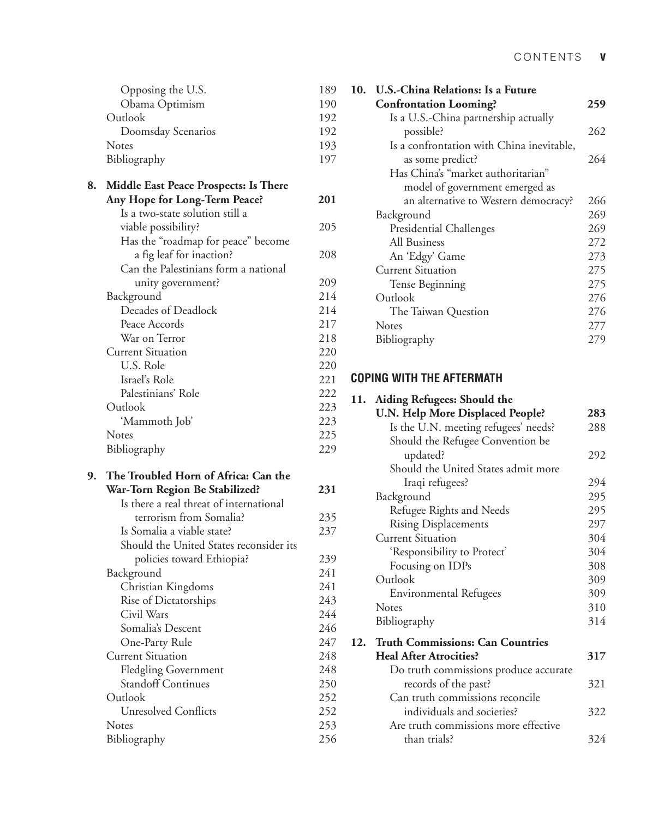| Opposing the U.S.  | 189 |
|--------------------|-----|
| Obama Optimism     | 190 |
| Outlook            | 192 |
| Doomsday Scenarios | 192 |
| <b>Notes</b>       | 193 |
| Bibliography       | 197 |

| 8. Middle East Peace Prospects: Is There |     |
|------------------------------------------|-----|
| Any Hope for Long-Term Peace?            | 201 |
| Is a two-state solution still a          |     |
| viable possibility?                      | 205 |
| Has the "roadmap for peace" become       |     |
| a fig leaf for inaction?                 | 208 |
| Can the Palestinians form a national     |     |
| unity government?                        | 209 |
| Background                               | 214 |
| Decades of Deadlock                      | 214 |
| Peace Accords                            | 217 |
| War on Terror                            | 218 |
| <b>Current Situation</b>                 | 220 |
| U.S. Role                                | 220 |
| Israel's Role                            | 221 |
| Palestinians' Role                       | 222 |
| Outlook                                  | 223 |
| 'Mammoth Job'                            | 223 |
| <b>Notes</b>                             | 225 |
| Bibliography                             | 229 |

| 9. | The Troubled Horn of Africa: Can the    |     |
|----|-----------------------------------------|-----|
|    | War-Torn Region Be Stabilized?          | 231 |
|    | Is there a real threat of international |     |
|    | terrorism from Somalia?                 | 235 |
|    | Is Somalia a viable state?              | 237 |
|    | Should the United States reconsider its |     |
|    | policies toward Ethiopia?               | 239 |
|    | Background                              | 241 |
|    | Christian Kingdoms                      | 241 |
|    | Rise of Dictatorships                   | 243 |
|    | Civil Wars                              | 244 |
|    | Somalia's Descent                       | 246 |
|    | One-Party Rule                          | 247 |
|    | <b>Current Situation</b>                | 248 |
|    | <b>Fledgling Government</b>             | 248 |
|    | <b>Standoff Continues</b>               | 250 |
|    | Outlook                                 | 252 |
|    | <b>Unresolved Conflicts</b>             | 252 |
|    | <b>Notes</b>                            | 253 |
|    | Bibliography                            | 256 |

| 10. U.S.-China Relations: Is a Future     |     |
|-------------------------------------------|-----|
| <b>Confrontation Looming?</b>             | 259 |
| Is a U.S.-China partnership actually      |     |
| possible?                                 | 262 |
| Is a confrontation with China inevitable, |     |
| as some predict?                          | 264 |
| Has China's "market authoritarian"        |     |
| model of government emerged as            |     |
| an alternative to Western democracy?      | 266 |
| Background                                | 269 |
| Presidential Challenges                   | 269 |
| All Business                              | 272 |
| An 'Edgy' Game                            | 273 |
| <b>Current Situation</b>                  | 275 |
| Tense Beginning                           | 275 |
| Outlook                                   | 276 |
| The Taiwan Question                       | 276 |
| <b>Notes</b>                              | 277 |
| Bibliography                              | 279 |
|                                           |     |

#### **Coping With the Aftermath**

| 11. | Aiding Refugees: Should the           |     |
|-----|---------------------------------------|-----|
|     | U.N. Help More Displaced People?      | 283 |
|     | Is the U.N. meeting refugees' needs?  | 288 |
|     | Should the Refugee Convention be      |     |
|     | updated?                              | 292 |
|     | Should the United States admit more   |     |
|     | Iraqi refugees?                       | 294 |
|     | Background                            | 295 |
|     | Refugee Rights and Needs              | 295 |
|     | <b>Rising Displacements</b>           | 297 |
|     | <b>Current Situation</b>              | 304 |
|     | 'Responsibility to Protect'           | 304 |
|     | Focusing on IDPs                      | 308 |
|     | Outlook                               | 309 |
|     | <b>Environmental Refugees</b>         | 309 |
|     | <b>Notes</b>                          | 310 |
|     | Bibliography                          | 314 |
|     | 12. Truth Commissions: Can Countries  |     |
|     | <b>Heal After Atrocities?</b>         | 317 |
|     | Do truth commissions produce accurate |     |
|     | records of the past?                  | 321 |
|     | Can truth commissions reconcile       |     |
|     | individuals and societies?            | 322 |
|     | Are truth commissions more effective  |     |
|     | than trials?                          | 324 |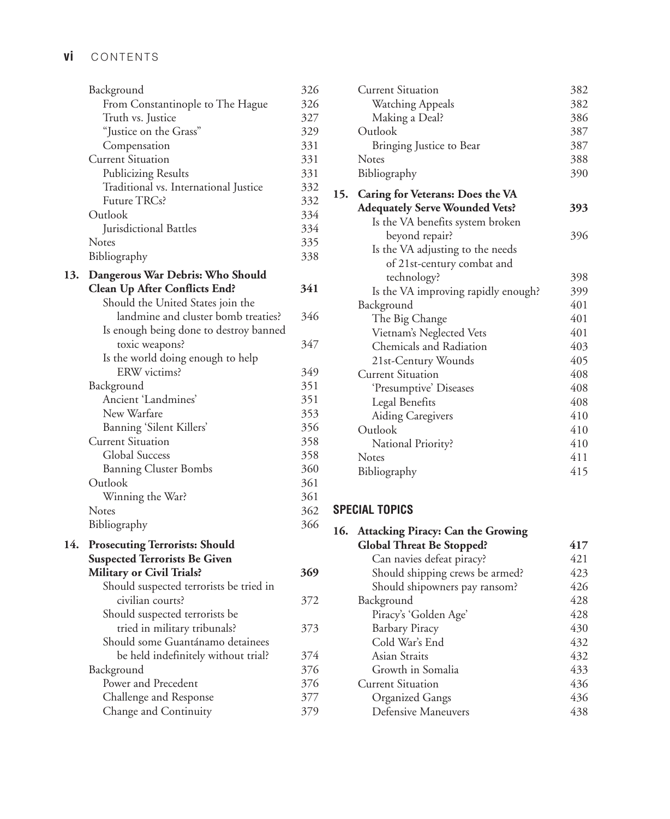## **vi** Contents

|     | Background<br>From Constantinople to The Hague<br>Truth vs. Justice<br>"Justice on the Grass"<br>Compensation<br><b>Current Situation</b><br><b>Publicizing Results</b><br>Traditional vs. International Justice<br>Future TRCs?<br>Outlook<br>Jurisdictional Battles | 326<br>326<br>327<br>329<br>331<br>331<br>331<br>332<br>332<br>334<br>334 |
|-----|-----------------------------------------------------------------------------------------------------------------------------------------------------------------------------------------------------------------------------------------------------------------------|---------------------------------------------------------------------------|
|     | Notes<br>Bibliography                                                                                                                                                                                                                                                 | 335<br>338                                                                |
| 13. | Dangerous War Debris: Who Should<br><b>Clean Up After Conflicts End?</b><br>Should the United States join the                                                                                                                                                         | 341                                                                       |
|     | landmine and cluster bomb treaties?<br>Is enough being done to destroy banned                                                                                                                                                                                         | 346                                                                       |
|     | toxic weapons?                                                                                                                                                                                                                                                        | 347                                                                       |
|     | Is the world doing enough to help                                                                                                                                                                                                                                     |                                                                           |
|     | ERW victims?                                                                                                                                                                                                                                                          | 349                                                                       |
|     | Background<br>Ancient 'Landmines'                                                                                                                                                                                                                                     | 351<br>351                                                                |
|     | New Warfare                                                                                                                                                                                                                                                           | 353                                                                       |
|     | Banning 'Silent Killers'                                                                                                                                                                                                                                              | 356                                                                       |
|     | <b>Current Situation</b>                                                                                                                                                                                                                                              | 358                                                                       |
|     | <b>Global Success</b>                                                                                                                                                                                                                                                 | 358                                                                       |
|     | <b>Banning Cluster Bombs</b>                                                                                                                                                                                                                                          | 360                                                                       |
|     | Outlook                                                                                                                                                                                                                                                               | 361                                                                       |
|     | Winning the War?                                                                                                                                                                                                                                                      | 361                                                                       |
|     | Notes                                                                                                                                                                                                                                                                 | 362                                                                       |
|     | Bibliography                                                                                                                                                                                                                                                          | 366                                                                       |
| 14. | <b>Prosecuting Terrorists: Should</b>                                                                                                                                                                                                                                 |                                                                           |
|     | <b>Suspected Terrorists Be Given</b>                                                                                                                                                                                                                                  |                                                                           |
|     | <b>Military or Civil Trials?</b><br>Should suspected terrorists be tried in                                                                                                                                                                                           | 369                                                                       |
|     | civilian courts?                                                                                                                                                                                                                                                      | 372                                                                       |
|     | Should suspected terrorists be                                                                                                                                                                                                                                        |                                                                           |
|     | tried in military tribunals?                                                                                                                                                                                                                                          | 373                                                                       |
|     | Should some Guantánamo detainees                                                                                                                                                                                                                                      |                                                                           |
|     | be held indefinitely without trial?                                                                                                                                                                                                                                   | 374                                                                       |
|     | Background                                                                                                                                                                                                                                                            | 376                                                                       |
|     | Power and Precedent                                                                                                                                                                                                                                                   | 376                                                                       |
|     | Challenge and Response                                                                                                                                                                                                                                                | 377                                                                       |
|     | Change and Continuity                                                                                                                                                                                                                                                 | 379                                                                       |

| <b>Current Situation</b>              | 382 |
|---------------------------------------|-----|
| Watching Appeals                      | 382 |
| Making a Deal?                        | 386 |
| Outlook                               | 387 |
| Bringing Justice to Bear              | 387 |
| <b>Notes</b>                          | 388 |
| Bibliography                          | 390 |
| 15. Caring for Veterans: Does the VA  |     |
| <b>Adequately Serve Wounded Vets?</b> | 393 |
| Is the VA benefits system broken      |     |
| beyond repair?                        | 396 |
| Is the VA adjusting to the needs      |     |
| of 21st-century combat and            |     |
| technology?                           | 398 |
| Is the VA improving rapidly enough?   | 399 |
| Background                            | 401 |
| The Big Change                        | 401 |
| Vietnam's Neglected Vets              | 401 |
| Chemicals and Radiation               | 403 |
| 21st-Century Wounds                   | 405 |
| <b>Current Situation</b>              | 408 |
| 'Presumptive' Diseases                | 408 |
| Legal Benefits                        | 408 |
| Aiding Caregivers                     | 410 |
| Outlook                               | 410 |
| National Priority?                    | 410 |
| Notes                                 | 411 |
| Bibliography                          | 415 |
|                                       |     |

### **Special Topics**

|  | 16. Attacking Piracy: Can the Growing |     |
|--|---------------------------------------|-----|
|  | <b>Global Threat Be Stopped?</b>      | 417 |
|  | Can navies defeat piracy?             | 421 |
|  | Should shipping crews be armed?       | 423 |
|  | Should shipowners pay ransom?         | 426 |
|  | Background                            | 428 |
|  | Piracy's 'Golden Age'                 | 428 |
|  | <b>Barbary Piracy</b>                 | 430 |
|  | Cold War's End                        | 432 |
|  | Asian Straits                         | 432 |
|  | Growth in Somalia                     | 433 |
|  | Current Situation                     | 436 |
|  | Organized Gangs                       | 436 |
|  | Defensive Maneuvers                   | 438 |